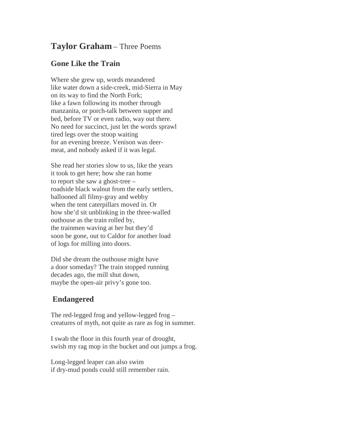## **Taylor Graham** – Three Poems

## **Gone Like the Train**

Where she grew up, words meandered like water down a side-creek, mid-Sierra in May on its way to find the North Fork; like a fawn following its mother through manzanita, or porch-talk between supper and bed, before TV or even radio, way out there. No need for succinct, just let the words sprawl tired legs over the stoop waiting for an evening breeze. Venison was deermeat, and nobody asked if it was legal.

She read her stories slow to us, like the years it took to get here; how she ran home to report she saw a ghost-tree – roadside black walnut from the early settlers, ballooned all filmy-gray and webby when the tent caterpillars moved in. Or how she'd sit unblinking in the three-walled outhouse as the train rolled by, the trainmen waving at her but they'd soon be gone, out to Caldor for another load of logs for milling into doors.

Did she dream the outhouse might have a door someday? The train stopped running decades ago, the mill shut down, maybe the open-air privy's gone too.

## **Endangered**

The red-legged frog and yellow-legged frog – creatures of myth, not quite as rare as fog in summer.

I swab the floor in this fourth year of drought, swish my rag mop in the bucket and out jumps a frog.

Long-legged leaper can also swim if dry-mud ponds could still remember rain.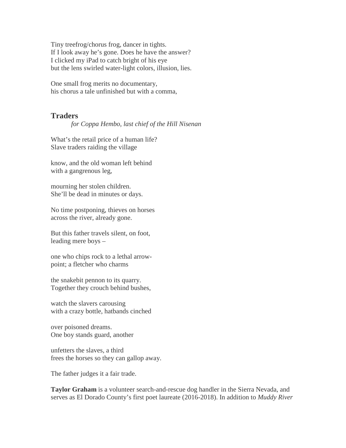Tiny treefrog/chorus frog, dancer in tights. If I look away he's gone. Does he have the answer? I clicked my iPad to catch bright of his eye but the lens swirled water-light colors, illusion, lies.

One small frog merits no documentary, his chorus a tale unfinished but with a comma,

## **Traders**

*for Coppa Hembo, last chief of the Hill Nisenan*

What's the retail price of a human life? Slave traders raiding the village

know, and the old woman left behind with a gangrenous leg,

mourning her stolen children. She'll be dead in minutes or days.

No time postponing, thieves on horses across the river, already gone.

But this father travels silent, on foot, leading mere boys –

one who chips rock to a lethal arrowpoint; a fletcher who charms

the snakebit pennon to its quarry. Together they crouch behind bushes,

watch the slavers carousing with a crazy bottle, hatbands cinched

over poisoned dreams. One boy stands guard, another

unfetters the slaves, a third frees the horses so they can gallop away.

The father judges it a fair trade.

**Taylor Graham** is a volunteer search-and-rescue dog handler in the Sierra Nevada, and serves as El Dorado County's first poet laureate (2016-2018). In addition to *Muddy River*